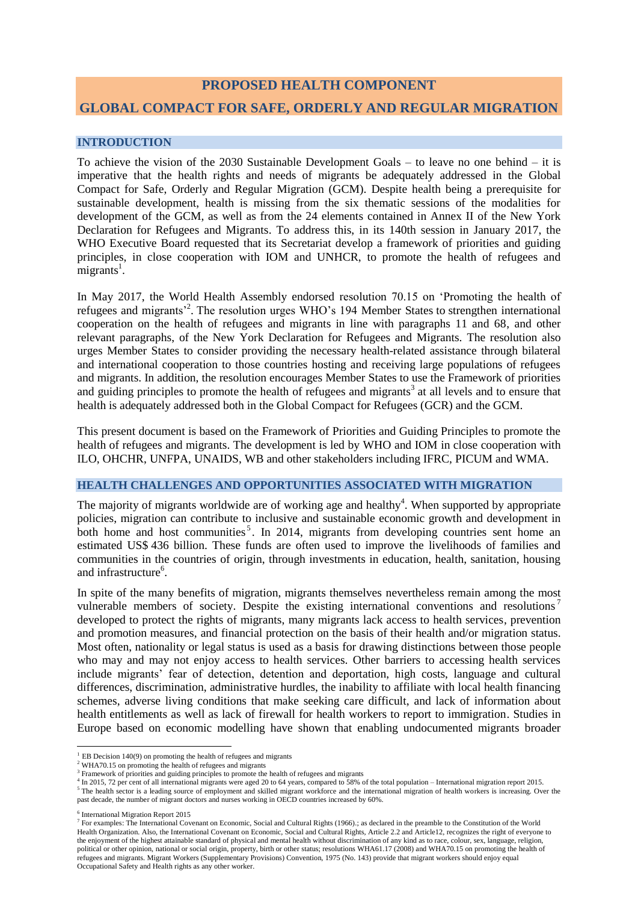# **PROPOSED HEALTH COMPONENT GLOBAL COMPACT FOR SAFE, ORDERLY AND REGULAR MIGRATION**

#### **INTRODUCTION**

To achieve the vision of the 2030 Sustainable Development Goals – to leave no one behind – it is imperative that the health rights and needs of migrants be adequately addressed in the Global Compact for Safe, Orderly and Regular Migration (GCM). Despite health being a prerequisite for sustainable development, health is missing from the six thematic sessions of the modalities for development of the GCM, as well as from the 24 elements contained in Annex II of the New York Declaration for Refugees and Migrants. To address this, in its 140th session in January 2017, the WHO Executive Board requested that its Secretariat develop a framework of priorities and guiding principles, in close cooperation with IOM and UNHCR, to promote the health of refugees and  $migrants<sup>1</sup>$ .

In May 2017, the World Health Assembly endorsed resolution 70.15 on 'Promoting the health of refugees and migrants<sup>2</sup>. The resolution urges WHO's 194 Member States to strengthen international cooperation on the health of refugees and migrants in line with paragraphs 11 and 68, and other relevant paragraphs, of the New York Declaration for Refugees and Migrants. The resolution also urges Member States to consider providing the necessary health-related assistance through bilateral and international cooperation to those countries hosting and receiving large populations of refugees and migrants. In addition, the resolution encourages Member States to use the Framework of priorities and guiding principles to promote the health of refugees and migrants<sup>3</sup> at all levels and to ensure that health is adequately addressed both in the Global Compact for Refugees (GCR) and the GCM.

This present document is based on the Framework of Priorities and Guiding Principles to promote the health of refugees and migrants. The development is led by WHO and IOM in close cooperation with ILO, OHCHR, UNFPA, UNAIDS, WB and other stakeholders including IFRC, PICUM and WMA.

#### **HEALTH CHALLENGES AND OPPORTUNITIES ASSOCIATED WITH MIGRATION**

The majority of migrants worldwide are of working age and healthy<sup>4</sup>. When supported by appropriate policies, migration can contribute to inclusive and sustainable economic growth and development in both home and host communities<sup>5</sup>. In 2014, migrants from developing countries sent home an estimated US\$ 436 billion. These funds are often used to improve the livelihoods of families and communities in the countries of origin, through investments in education, health, sanitation, housing and infrastructure<sup>6</sup>.

In spite of the many benefits of migration, migrants themselves nevertheless remain among the most vulnerable members of society. Despite the existing international conventions and resolutions<sup>7</sup> developed to protect the rights of migrants, many migrants lack access to health services, prevention and promotion measures, and financial protection on the basis of their health and/or migration status. Most often, nationality or legal status is used as a basis for drawing distinctions between those people who may and may not enjoy access to health services. Other barriers to accessing health services include migrants' fear of detection, detention and deportation, high costs, language and cultural differences, discrimination, administrative hurdles, the inability to affiliate with local health financing schemes, adverse living conditions that make seeking care difficult, and lack of information about health entitlements as well as lack of firewall for health workers to report to immigration. Studies in Europe based on economic modelling have shown that enabling undocumented migrants broader

6 International Migration Report 2015

**.** 

 $1$  EB Decision 140(9) on promoting the health of refugees and migrants

<sup>&</sup>lt;sup>2</sup> WHA70.15 on promoting the health of refugees and migrants

<sup>&</sup>lt;sup>3</sup> Framework of priorities and guiding principles to promote the health of refugees and migrants

<sup>4</sup> In 2015, 72 per cent of all international migrants were aged 20 to 64 years, compared to 58% of the total population – International migration report 2015.

<sup>&</sup>lt;sup>5</sup> The health sector is a leading source of employment and skilled migrant workforce and the international migration of health workers is increasing. Over the past decade, the number of migrant doctors and nurses working in OECD countries increased by 60%.

<sup>&</sup>lt;sup>7</sup> For examples: The International Covenant on Economic, Social and Cultural Rights (1966).; as declared in the preamble to the Constitution of the World Health Organization. Also, the International Covenant on Economic, Social and Cultural Rights, Article 2.2 and Article12, recognizes the right of everyone to the enjoyment of the highest attainable standard of physical and mental health without discrimination of any kind as to race, colour, sex, language, religion, political or other opinion, national or social origin, property, birth or other status; resolutions WHA61.17 (2008) and WHA70.15 on promoting the health of refugees and migrants. Migrant Workers (Supplementary Provisions) Convention, 1975 (No. 143) provide that migrant workers should enjoy equal Occupational Safety and Health rights as any other worker.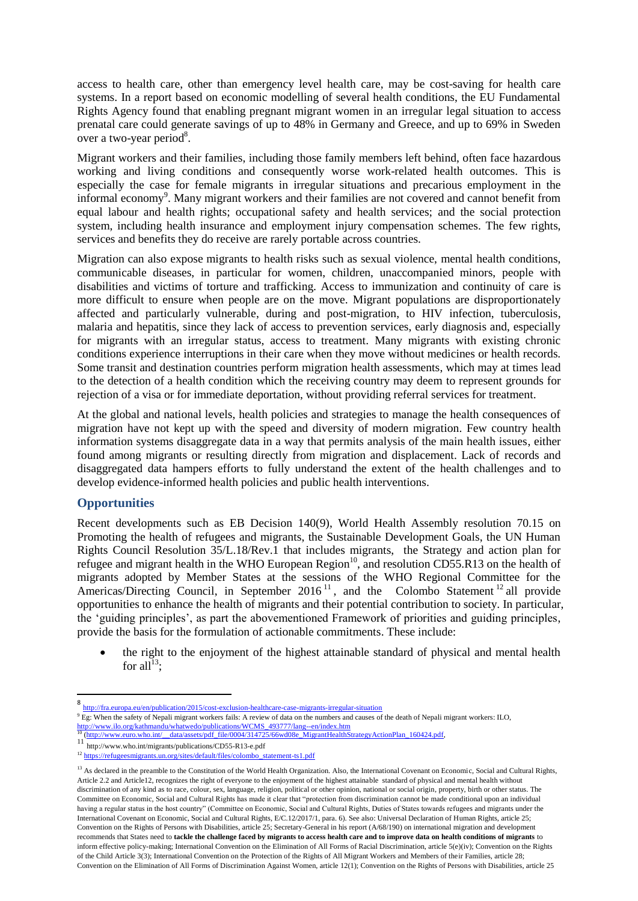access to health care, other than emergency level health care, may be cost-saving for health care systems. In a report based on economic modelling of several health conditions, the EU Fundamental Rights Agency found that enabling pregnant migrant women in an irregular legal situation to access prenatal care could generate savings of up to 48% in Germany and Greece, and up to 69% in Sweden over a two-year period $8$ .

Migrant workers and their families, including those family members left behind, often face hazardous working and living conditions and consequently worse work-related health outcomes. This is especially the case for female migrants in irregular situations and precarious employment in the informal economy<sup>9</sup>. Many migrant workers and their families are not covered and cannot benefit from equal labour and health rights; occupational safety and health services; and the social protection system, including health insurance and employment injury compensation schemes. The few rights, services and benefits they do receive are rarely portable across countries.

Migration can also expose migrants to health risks such as sexual violence, mental health conditions, communicable diseases, in particular for women, children, unaccompanied minors, people with disabilities and victims of torture and trafficking. Access to immunization and continuity of care is more difficult to ensure when people are on the move. Migrant populations are disproportionately affected and particularly vulnerable, during and post-migration, to HIV infection, tuberculosis, malaria and hepatitis, since they lack of access to prevention services, early diagnosis and, especially for migrants with an irregular status, access to treatment. Many migrants with existing chronic conditions experience interruptions in their care when they move without medicines or health records. Some transit and destination countries perform migration health assessments, which may at times lead to the detection of a health condition which the receiving country may deem to represent grounds for rejection of a visa or for immediate deportation, without providing referral services for treatment.

At the global and national levels, health policies and strategies to manage the health consequences of migration have not kept up with the speed and diversity of modern migration. Few country health information systems disaggregate data in a way that permits analysis of the main health issues, either found among migrants or resulting directly from migration and displacement. Lack of records and disaggregated data hampers efforts to fully understand the extent of the health challenges and to develop evidence-informed health policies and public health interventions.

## **Opportunities**

**.** 

Recent developments such as EB Decision 140(9), World Health Assembly resolution 70.15 on Promoting the health of refugees and migrants, the Sustainable Development Goals, the UN Human Rights Council Resolution 35/L.18/Rev.1 that includes migrants, the Strategy and action plan for refugee and migrant health in the WHO European Region<sup>10</sup>, and resolution CD55.R13 on the health of migrants adopted by Member States at the sessions of the WHO Regional Committee for the Americas/Directing Council, in September 2016<sup>11</sup>, and the Colombo Statement<sup>12</sup> all provide opportunities to enhance the health of migrants and their potential contribution to society. In particular, the 'guiding principles', as part the abovementioned Framework of priorities and guiding principles, provide the basis for the formulation of actionable commitments. These include:

 the right to the enjoyment of the highest attainable standard of physical and mental health for all $^{13}$ :

<sup>8</sup> <http://fra.europa.eu/en/publication/2015/cost-exclusion-healthcare-case-migrants-irregular-situation>

<sup>&</sup>lt;sup>9</sup> Eg: When the safety of Nepali migrant workers fails: A review of data on the numbers and causes of the death of Nepali migrant workers: ILO, [http://www.ilo.org/kathmandu/whatwedo/publications/WCMS\\_493777/lang--en/index.htm](http://www.ilo.org/kathmandu/whatwedo/publications/WCMS_493777/lang--en/index.htm)

<sup>&</sup>lt;sup>10</sup> (http://www.euro.who.int/\_\_data/assets/pdf\_file/0004/314725/66wd08e\_MigrantHealthStrategyActionPlan\_160424.pdf,

<sup>&</sup>lt;sup>11</sup> http://www.who.int/migrants/publications/CD55-R13-e.pdf<br><sup>12</sup> https://refugeesmigrants.un.org/sites/default/files/colombo s <sub>2</sub> [https://refugeesmigrants.un.org/sites/default/files/colombo\\_statement-ts1.pdf](https://refugeesmigrants.un.org/sites/default/files/colombo_statement-ts1.pdf)

<sup>&</sup>lt;sup>13</sup> As declared in the preamble to the Constitution of the World Health Organization. Also, the International Covenant on Economic, Social and Cultural Rights, Article 2.2 and Article12, recognizes the right of everyone to the enjoyment of the highest attainable standard of physical and mental health without discrimination of any kind as to race, colour, sex, language, religion, political or other opinion, national or social origin, property, birth or other status. The Committee on Economic, Social and Cultural Rights has made it clear that "protection from discrimination cannot be made conditional upon an individual having a regular status in the host country" (Committee on Economic, Social and Cultural Rights, Duties of States towards refugees and migrants under the International Covenant on Economic, Social and Cultural Rights, E/C.12/2017/1, para. 6). See also: Universal Declaration of Human Rights, article 25; Convention on the Rights of Persons with Disabilities, article 25; Secretary-General in his report (A/68/190) on international migration and development recommends that States need to **tackle the challenge faced by migrants to access health care and to improve data on health conditions of migrants** to inform effective policy-making; International Convention on the Elimination of All Forms of Racial Discrimination, article 5(e)(iv); Convention on the Rights of the Child Article 3(3); International Convention on the Protection of the Rights of All Migrant Workers and Members of their Families, article 28; Convention on the Elimination of All Forms of Discrimination Against Women, article 12(1); Convention on the Rights of Persons with Disabilities, article 25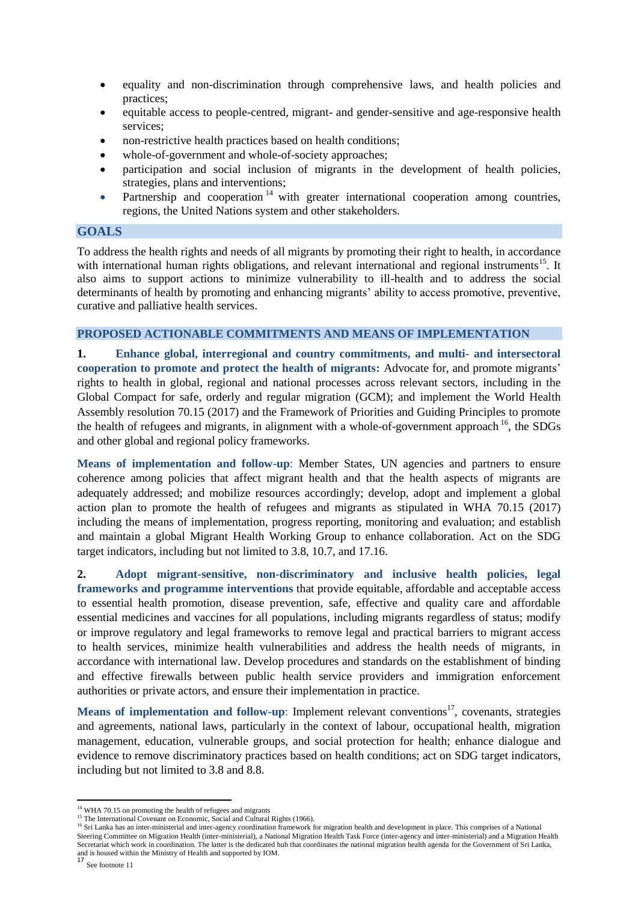- equality and non-discrimination through comprehensive laws, and health policies and practices;
- equitable access to people-centred, migrant- and gender-sensitive and age-responsive health services;
- non-restrictive health practices based on health conditions;
- whole-of-government and whole-of-society approaches;
- participation and social inclusion of migrants in the development of health policies, strategies, plans and interventions;
- Partnership and cooperation<sup>14</sup> with greater international cooperation among countries, regions, the United Nations system and other stakeholders.

### **GOALS**

To address the health rights and needs of all migrants by promoting their right to health, in accordance with international human rights obligations, and relevant international and regional instruments<sup>15</sup>. It also aims to support actions to minimize vulnerability to ill-health and to address the social determinants of health by promoting and enhancing migrants' ability to access promotive, preventive, curative and palliative health services.

## **PROPOSED ACTIONABLE COMMITMENTS AND MEANS OF IMPLEMENTATION**

**1. Enhance global, interregional and country commitments, and multi- and intersectoral cooperation to promote and protect the health of migrants:** Advocate for, and promote migrants' rights to health in global, regional and national processes across relevant sectors, including in the Global Compact for safe, orderly and regular migration (GCM); and implement the World Health Assembly resolution 70.15 (2017) and the Framework of Priorities and Guiding Principles to promote the health of refugees and migrants, in alignment with a whole-of-government approach  $16$ , the SDGs and other global and regional policy frameworks.

**Means of implementation and follow-up**: Member States, UN agencies and partners to ensure coherence among policies that affect migrant health and that the health aspects of migrants are adequately addressed; and mobilize resources accordingly; develop, adopt and implement a global action plan to promote the health of refugees and migrants as stipulated in WHA 70.15 (2017) including the means of implementation, progress reporting, monitoring and evaluation; and establish and maintain a global Migrant Health Working Group to enhance collaboration. Act on the SDG target indicators, including but not limited to 3.8, 10.7, and 17.16.

**2. Adopt migrant-sensitive, non-discriminatory and inclusive health policies, legal frameworks and programme interventions** that provide equitable, affordable and acceptable access to essential health promotion, disease prevention, safe, effective and quality care and affordable essential medicines and vaccines for all populations, including migrants regardless of status; modify or improve regulatory and legal frameworks to remove legal and practical barriers to migrant access to health services, minimize health vulnerabilities and address the health needs of migrants, in accordance with international law. Develop procedures and standards on the establishment of binding and effective firewalls between public health service providers and immigration enforcement authorities or private actors, and ensure their implementation in practice.

Means of implementation and follow-up: Implement relevant conventions<sup>17</sup>, covenants, strategies and agreements, national laws, particularly in the context of labour, occupational health, migration management, education, vulnerable groups, and social protection for health; enhance dialogue and evidence to remove discriminatory practices based on health conditions; act on SDG target indicators, including but not limited to 3.8 and 8.8.

<sup>1</sup> <sup>14</sup> WHA 70.15 on promoting the health of refugees and migrants

<sup>&</sup>lt;sup>15</sup> The International Covenant on Economic, Social and Cultural Rights (1966).

<sup>&</sup>lt;sup>16</sup> Sri Lanka has an inter-ministerial and inter-agency coordination framework for migration health and development in place. This comprises of a National<br><sup>16</sup> Sri Lanka has an inter-ministerial and inter-agency coordinat Steering Committee on Migration Health (inter-ministerial), a National Migration Health Task Force (inter-agency and inter-ministerial) and a Migration Health Secretariat which work in coordination. The latter is the dedicated hub that coordinates the national migration health agenda for the Government of Sri Lanka, and is housed within the Ministry of Health and supported by IOM.<br>17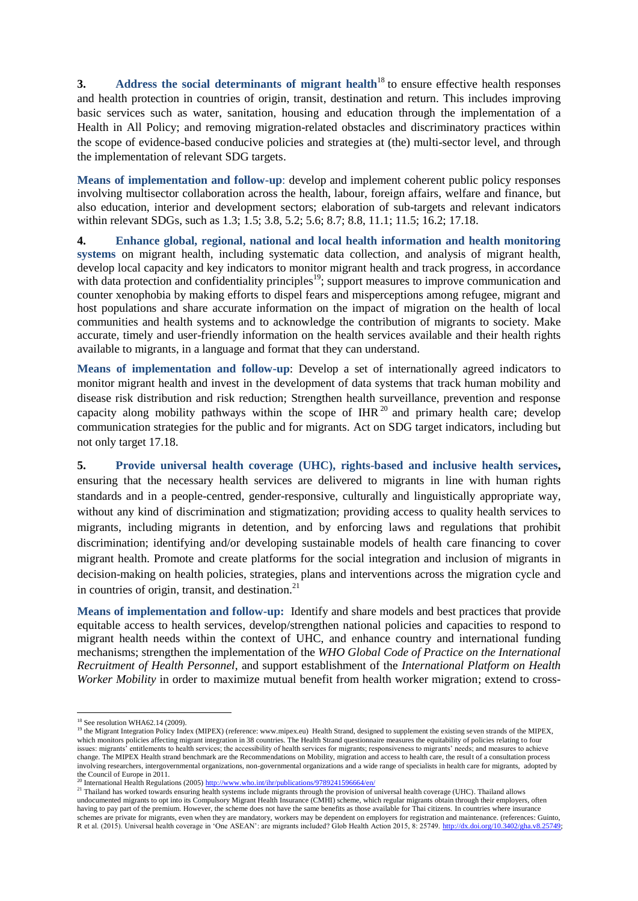**3. Address the social determinants of migrant health**<sup>18</sup> to ensure effective health responses and health protection in countries of origin, transit, destination and return. This includes improving basic services such as water, sanitation, housing and education through the implementation of a Health in All Policy; and removing migration-related obstacles and discriminatory practices within the scope of evidence-based conducive policies and strategies at (the) multi-sector level, and through the implementation of relevant SDG targets.

**Means of implementation and follow-up**: develop and implement coherent public policy responses involving multisector collaboration across the health, labour, foreign affairs, welfare and finance, but also education, interior and development sectors; elaboration of sub-targets and relevant indicators within relevant SDGs, such as 1.3; 1.5; 3.8, 5.2; 5.6; 8.7; 8.8, 11.1; 11.5; 16.2; 17.18.

**4. Enhance global, regional, national and local health information and health monitoring systems** on migrant health, including systematic data collection, and analysis of migrant health, develop local capacity and key indicators to monitor migrant health and track progress, in accordance with data protection and confidentiality principles<sup>19</sup>; support measures to improve communication and counter xenophobia by making efforts to dispel fears and misperceptions among refugee, migrant and host populations and share accurate information on the impact of migration on the health of local communities and health systems and to acknowledge the contribution of migrants to society. Make accurate, timely and user-friendly information on the health services available and their health rights available to migrants, in a language and format that they can understand.

**Means of implementation and follow-up**: Develop a set of internationally agreed indicators to monitor migrant health and invest in the development of data systems that track human mobility and disease risk distribution and risk reduction; Strengthen health surveillance, prevention and response capacity along mobility pathways within the scope of IHR<sup>20</sup> and primary health care; develop communication strategies for the public and for migrants. Act on SDG target indicators, including but not only target 17.18.

**5. Provide universal health coverage (UHC), rights-based and inclusive health services,**  ensuring that the necessary health services are delivered to migrants in line with human rights standards and in a people-centred, gender-responsive, culturally and linguistically appropriate way, without any kind of discrimination and stigmatization; providing access to quality health services to migrants, including migrants in detention, and by enforcing laws and regulations that prohibit discrimination; identifying and/or developing sustainable models of health care financing to cover migrant health. Promote and create platforms for the social integration and inclusion of migrants in decision-making on health policies, strategies, plans and interventions across the migration cycle and in countries of origin, transit, and destination. $21$ 

**Means of implementation and follow-up:** Identify and share models and best practices that provide equitable access to health services, develop/strengthen national policies and capacities to respond to migrant health needs within the context of UHC, and enhance country and international funding mechanisms; strengthen the implementation of the *WHO Global Code of Practice on the International Recruitment of Health Personnel*, and support establishment of the *International Platform on Health Worker Mobility* in order to maximize mutual benefit from health worker migration; extend to cross-

<sup>20</sup> International Health Regulations (2005)<http://www.who.int/ihr/publications/9789241596664/en/>

<sup>21</sup> Thailand has worked towards ensuring health systems include migrants through the provision of universal health coverage (UHC). Thailand allows undocumented migrants to opt into its Compulsory Migrant Health Insurance (CMHI) scheme, which regular migrants obtain through their employers, often having to pay part of the premium. However, the scheme does not have the same benefits as those available for Thai citizens. In countries where insurance schemes are private for migrants, even when they are mandatory, workers may be dependent on employers for registration and maintenance. (references: Guinto, R et al. (2015). Universal health coverage in 'One ASEAN': are migrants included? Glob Health Action 2015, 8: 25749. [http://dx.doi.org/10.3402/gha.v8.25749;](http://dx.doi.org/10.3402/gha.v8.25749) 

<sup>1</sup> <sup>18</sup> See resolution WHA62.14 (2009).

<sup>&</sup>lt;sup>19</sup> the Migrant Integration Policy Index (MIPEX) (reference: www.mipex.eu) Health Strand, designed to supplement the existing seven strands of the MIPEX, which monitors policies affecting migrant integration in 38 countries. The Health Strand questionnaire measures the equitability of policies relating to four issues: migrants' entitlements to health services; the accessibility of health services for migrants; responsiveness to migrants' needs; and measures to achieve change. The MIPEX Health strand benchmark are the Recommendations on Mobility, migration and access to health care, the result of a consultation process involving researchers, intergovernmental organizations, non-governmental organizations and a wide range of specialists in health care for migrants, adopted by the Council of Europe in 2011.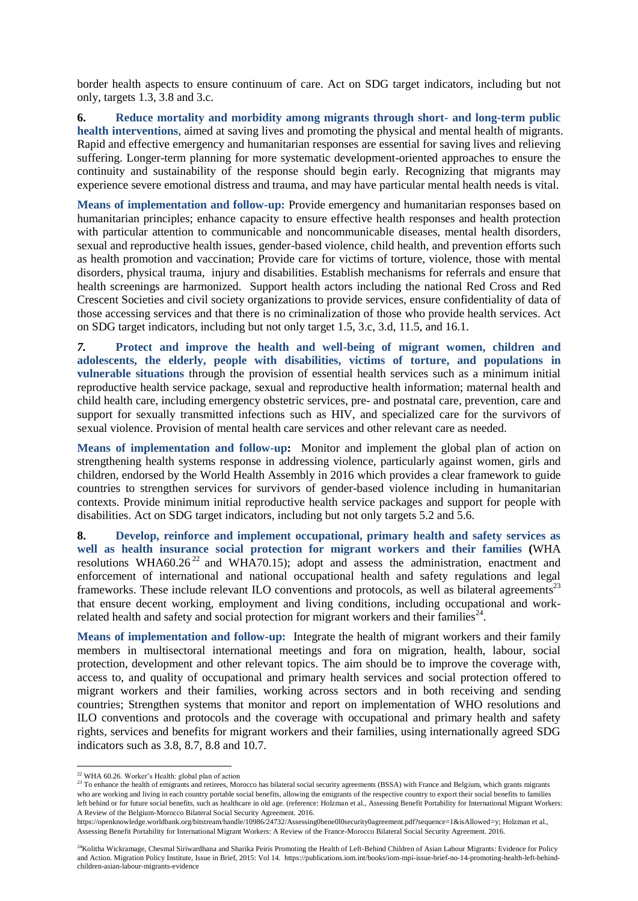border health aspects to ensure continuum of care. Act on SDG target indicators, including but not only, targets 1.3, 3.8 and 3.c.

**6. Reduce mortality and morbidity among migrants through short- and long-term public health interventions**, aimed at saving lives and promoting the physical and mental health of migrants. Rapid and effective emergency and humanitarian responses are essential for saving lives and relieving suffering. Longer-term planning for more systematic development-oriented approaches to ensure the continuity and sustainability of the response should begin early. Recognizing that migrants may experience severe emotional distress and trauma, and may have particular mental health needs is vital.

**Means of implementation and follow-up:** Provide emergency and humanitarian responses based on humanitarian principles; enhance capacity to ensure effective health responses and health protection with particular attention to communicable and noncommunicable diseases, mental health disorders, sexual and reproductive health issues, gender-based violence, child health, and prevention efforts such as health promotion and vaccination; Provide care for victims of torture, violence, those with mental disorders, physical trauma, injury and disabilities. Establish mechanisms for referrals and ensure that health screenings are harmonized. Support health actors including the national Red Cross and Red Crescent Societies and civil society organizations to provide services, ensure confidentiality of data of those accessing services and that there is no criminalization of those who provide health services. Act on SDG target indicators, including but not only target 1.5, 3.c, 3.d, 11.5, and 16.1.

*7.* **Protect and improve the health and well-being of migrant women, children and adolescents, the elderly, people with disabilities, victims of torture, and populations in vulnerable situations** through the provision of essential health services such as a minimum initial reproductive health service package, sexual and reproductive health information; maternal health and child health care, including emergency obstetric services, pre- and postnatal care, prevention, care and support for sexually transmitted infections such as HIV, and specialized care for the survivors of sexual violence. Provision of mental health care services and other relevant care as needed*.*

**Means of implementation and follow-up:** Monitor and implement the global plan of action on strengthening health systems response in addressing violence, particularly against women, girls and children, endorsed by the World Health Assembly in 2016 which provides a clear framework to guide countries to strengthen services for survivors of gender-based violence including in humanitarian contexts. Provide minimum initial reproductive health service packages and support for people with disabilities. Act on SDG target indicators, including but not only targets 5.2 and 5.6.

**8. Develop, reinforce and implement occupational, primary health and safety services as well as health insurance social protection for migrant workers and their families (**WHA resolutions WHA60.26<sup>22</sup> and WHA70.15); adopt and assess the administration, enactment and enforcement of international and national occupational health and safety regulations and legal frameworks. These include relevant ILO conventions and protocols, as well as bilateral agreements<sup>23</sup> that ensure decent working, employment and living conditions, including occupational and workrelated health and safety and social protection for migrant workers and their families $^{24}$ .

**Means of implementation and follow-up:** Integrate the health of migrant workers and their family members in multisectoral international meetings and fora on migration, health, labour, social protection, development and other relevant topics. The aim should be to improve the coverage with, access to, and quality of occupational and primary health services and social protection offered to migrant workers and their families, working across sectors and in both receiving and sending countries; Strengthen systems that monitor and report on implementation of WHO resolutions and ILO conventions and protocols and the coverage with occupational and primary health and safety rights, services and benefits for migrant workers and their families, using internationally agreed SDG indicators such as 3.8, 8.7, 8.8 and 10.7.

 $\overline{\phantom{a}}$ 

<sup>&</sup>lt;sup>22</sup> WHA 60.26. Worker's Health: global plan of action

<sup>&</sup>lt;sup>23</sup> To enhance the health of emigrants and retirees, Morocco has bilateral social security agreements (BSSA) with France and Belgium, which grants migrants who are working and living in each country portable social benefits, allowing the emigrants of the respective country to export their social benefits to families left behind or for future social benefits, such as healthcare in old age. (reference: Holzman et al., Assessing Benefit Portability for International Migrant Workers: A Review of the Belgium-Morocco Bilateral Social Security Agreement. 2016.

https://openknowledge.worldbank.org/bitstream/handle/10986/24732/Assessing0bene0l0security0agreement.pdf?sequence=1&isAllowed=y; Holzman et al., Assessing Benefit Portability for International Migrant Workers: A Review of the France-Morocco Bilateral Social Security Agreement. 2016.

<sup>&</sup>lt;sup>24</sup>Kolitha Wickramage, Chesmal Siriwardhana and Sharika Peiris Promoting the Health of Left-Behind Children of Asian Labour Migrants: Evidence for Policy and Action. Migration Policy Institute, Issue in Brief, 2015: Vol 14. https://publications.iom.int/books/iom-mpi-issue-brief-no-14-promoting-health-left-behindchildren-asian-labour-migrants-evidence